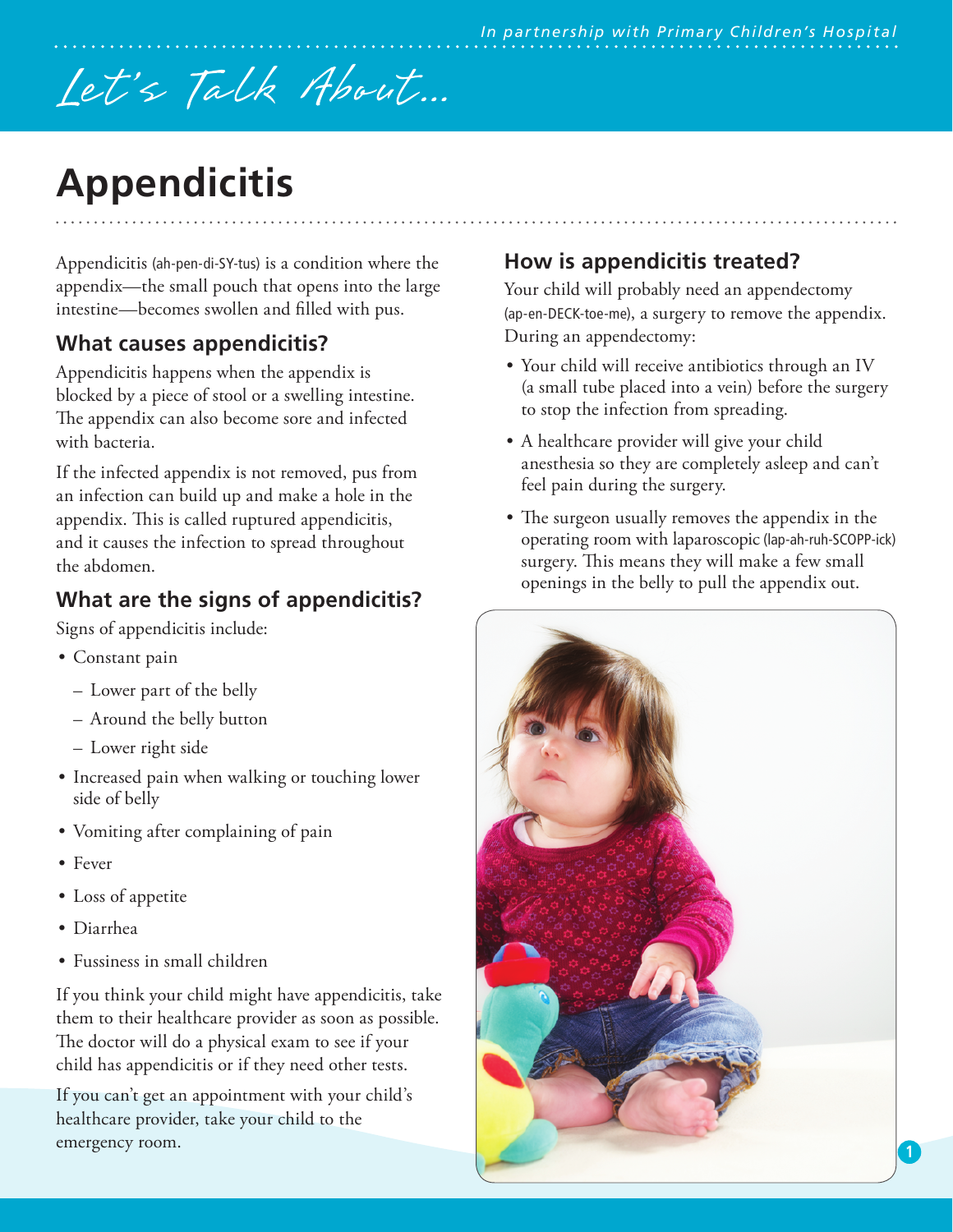# Let's Talk About...

# **Appendicitis**

Appendicitis (ah-pen-di-SY-tus) is a condition where the appendix—the small pouch that opens into the large intestine—becomes swollen and filled with pus.

# **What causes appendicitis?**

Appendicitis happens when the appendix is blocked by a piece of stool or a swelling intestine. The appendix can also become sore and infected with bacteria.

If the infected appendix is not removed, pus from an infection can build up and make a hole in the appendix. This is called ruptured appendicitis, and it causes the infection to spread throughout the abdomen.

# **What are the signs of appendicitis?**

Signs of appendicitis include:

- Constant pain
	- Lower part of the belly
	- Around the belly button
	- Lower right side
- Increased pain when walking or touching lower side of belly
- Vomiting after complaining of pain
- Fever
- Loss of appetite
- Diarrhea
- Fussiness in small children

If you think your child might have appendicitis, take them to their healthcare provider as soon as possible. The doctor will do a physical exam to see if your child has appendicitis or if they need other tests.

If you can't get an appointment with your child's healthcare provider, take your child to the emergency room.

# **How is appendicitis treated?**

Your child will probably need an appendectomy (ap-en-DECK-toe-me), a surgery to remove the appendix. During an appendectomy:

- Your child will receive antibiotics through an IV (a small tube placed into a vein) before the surgery to stop the infection from spreading.
- A healthcare provider will give your child anesthesia so they are completely asleep and can't feel pain during the surgery.
- The surgeon usually removes the appendix in the operating room with laparoscopic (lap-ah-ruh-SCOPP-ick) surgery. This means they will make a few small openings in the belly to pull the appendix out.

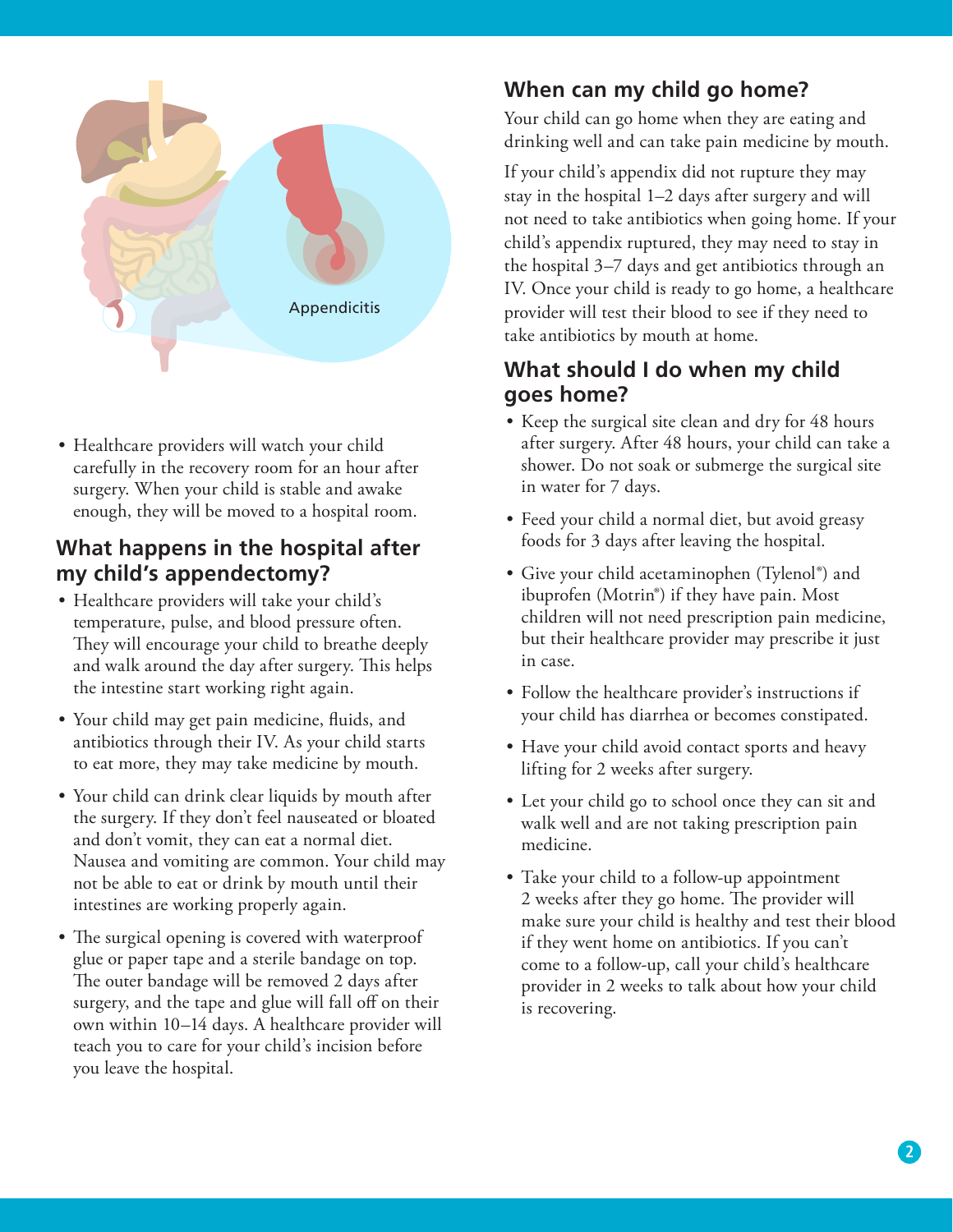

• Healthcare providers will watch your child carefully in the recovery room for an hour after surgery. When your child is stable and awake enough, they will be moved to a hospital room.

#### **What happens in the hospital after my child's appendectomy?**

- Healthcare providers will take your child's temperature, pulse, and blood pressure often. They will encourage your child to breathe deeply and walk around the day after surgery. This helps the intestine start working right again.
- Your child may get pain medicine, fluids, and antibiotics through their IV. As your child starts to eat more, they may take medicine by mouth.
- Your child can drink clear liquids by mouth after the surgery. If they don't feel nauseated or bloated and don't vomit, they can eat a normal diet. Nausea and vomiting are common. Your child may not be able to eat or drink by mouth until their intestines are working properly again.
- The surgical opening is covered with waterproof glue or paper tape and a sterile bandage on top. The outer bandage will be removed 2 days after surgery, and the tape and glue will fall off on their own within 10–14 days. A healthcare provider will teach you to care for your child's incision before you leave the hospital.

# **When can my child go home?**

Your child can go home when they are eating and drinking well and can take pain medicine by mouth.

If your child's appendix did not rupture they may stay in the hospital 1–2 days after surgery and will not need to take antibiotics when going home. If your child's appendix ruptured, they may need to stay in the hospital 3–7 days and get antibiotics through an IV. Once your child is ready to go home, a healthcare provider will test their blood to see if they need to take antibiotics by mouth at home.

## **What should I do when my child goes home?**

- Keep the surgical site clean and dry for 48 hours after surgery. After 48 hours, your child can take a shower. Do not soak or submerge the surgical site in water for 7 days.
- Feed your child a normal diet, but avoid greasy foods for 3 days after leaving the hospital.
- Give your child acetaminophen (Tylenol<sup>®</sup>) and ibuprofen (Motrin®) if they have pain. Most children will not need prescription pain medicine, but their healthcare provider may prescribe it just in case.
- Follow the healthcare provider's instructions if your child has diarrhea or becomes constipated.
- Have your child avoid contact sports and heavy lifting for 2 weeks after surgery.
- Let your child go to school once they can sit and walk well and are not taking prescription pain medicine.
- Take your child to a follow-up appointment 2 weeks after they go home. The provider will make sure your child is healthy and test their blood if they went home on antibiotics. If you can't come to a follow-up, call your child's healthcare provider in 2 weeks to talk about how your child is recovering.